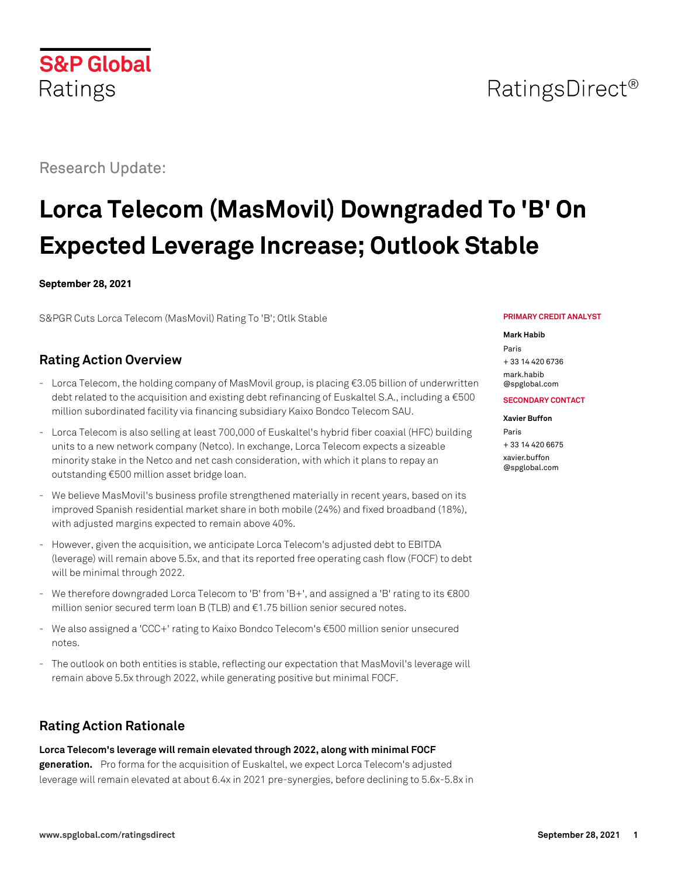## RatingsDirect<sup>®</sup>

## Research Update:

# **Lorca Telecom (MasMovil) Downgraded To 'B' On Expected Leverage Increase; Outlook Stable**

## **September 28, 2021**

S&PGR Cuts Lorca Telecom (MasMovil) Rating To 'B'; Otlk Stable

## **Rating Action Overview**

- Lorca Telecom, the holding company of MasMovil group, is placing €3.05 billion of underwritten debt related to the acquisition and existing debt refinancing of Euskaltel S.A., including  $a \in 500$ million subordinated facility via financing subsidiary Kaixo Bondco Telecom SAU.
- Lorca Telecom is also selling at least 700,000 of Euskaltel's hybrid fiber coaxial (HFC) building units to a new network company (Netco). In exchange, Lorca Telecom expects a sizeable minority stake in the Netco and net cash consideration, with which it plans to repay an outstanding €500 million asset bridge loan.
- We believe MasMovil's business profile strengthened materially in recent years, based on its improved Spanish residential market share in both mobile (24%) and fixed broadband (18%), with adjusted margins expected to remain above 40%.
- However, given the acquisition, we anticipate Lorca Telecom's adjusted debt to EBITDA (leverage) will remain above 5.5x, and that its reported free operating cash flow (FOCF) to debt will be minimal through 2022.
- We therefore downgraded Lorca Telecom to 'B' from 'B+', and assigned a 'B' rating to its €800 million senior secured term loan B (TLB) and €1.75 billion senior secured notes.
- We also assigned a 'CCC+' rating to Kaixo Bondco Telecom's €500 million senior unsecured notes.
- The outlook on both entities is stable, reflecting our expectation that MasMovil's leverage will remain above 5.5x through 2022, while generating positive but minimal FOCF.

## **Rating Action Rationale**

**Lorca Telecom's leverage will remain elevated through 2022, along with minimal FOCF generation.** Pro forma for the acquisition of Euskaltel, we expect Lorca Telecom's adjusted leverage will remain elevated at about 6.4x in 2021 pre-synergies, before declining to 5.6x-5.8x in

#### **PRIMARY CREDIT ANALYST**

#### **Mark Habib**

Paris + 33 14 420 6736 [mark.habib](mailto:mark.habib@spglobal.com) [@spglobal.com](mailto:mark.habib@spglobal.com)

#### **SECONDARY CONTACT**

#### **Xavier Buffon**

Paris + 33 14 420 6675 [xavier.buffon](mailto:xavier.buffon@spglobal.com) [@spglobal.com](mailto:xavier.buffon@spglobal.com)

## **S&P Global** Ratings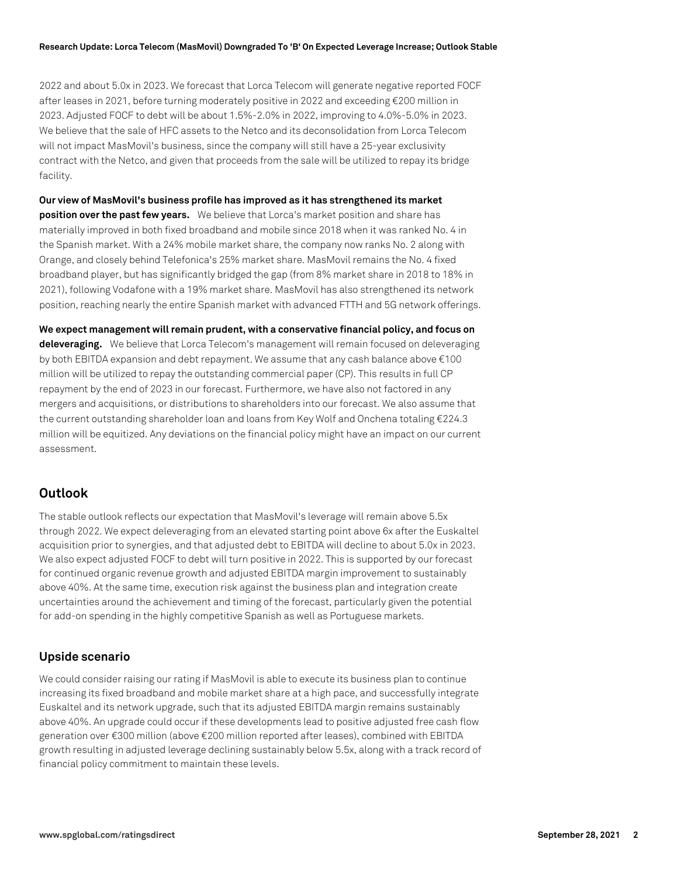2022 and about 5.0x in 2023. We forecast that Lorca Telecom will generate negative reported FOCF after leases in 2021, before turning moderately positive in 2022 and exceeding €200 million in 2023. Adjusted FOCF to debt will be about 1.5%-2.0% in 2022, improving to 4.0%-5.0% in 2023. We believe that the sale of HFC assets to the Netco and its deconsolidation from Lorca Telecom will not impact MasMovil's business, since the company will still have a 25-year exclusivity contract with the Netco, and given that proceeds from the sale will be utilized to repay its bridge facility.

**Our view of MasMovil's business profile has improved as it has strengthened its market position over the past few years.** We believe that Lorca's market position and share has materially improved in both fixed broadband and mobile since 2018 when it was ranked No. 4 in the Spanish market. With a 24% mobile market share, the company now ranks No. 2 along with Orange, and closely behind Telefonica's 25% market share. MasMovil remains the No. 4 fixed broadband player, but has significantly bridged the gap (from 8% market share in 2018 to 18% in 2021), following Vodafone with a 19% market share. MasMovil has also strengthened its network position, reaching nearly the entire Spanish market with advanced FTTH and 5G network offerings.

**We expect management will remain prudent, with a conservative financial policy, and focus on deleveraging.** We believe that Lorca Telecom's management will remain focused on deleveraging by both EBITDA expansion and debt repayment. We assume that any cash balance above €100 million will be utilized to repay the outstanding commercial paper (CP). This results in full CP repayment by the end of 2023 in our forecast. Furthermore, we have also not factored in any mergers and acquisitions, or distributions to shareholders into our forecast. We also assume that the current outstanding shareholder loan and loans from Key Wolf and Onchena totaling €224.3 million will be equitized. Any deviations on the financial policy might have an impact on our current assessment.

### **Outlook**

The stable outlook reflects our expectation that MasMovil's leverage will remain above 5.5x through 2022. We expect deleveraging from an elevated starting point above 6x after the Euskaltel acquisition prior to synergies, and that adjusted debt to EBITDA will decline to about 5.0x in 2023. We also expect adjusted FOCF to debt will turn positive in 2022. This is supported by our forecast for continued organic revenue growth and adjusted EBITDA margin improvement to sustainably above 40%. At the same time, execution risk against the business plan and integration create uncertainties around the achievement and timing of the forecast, particularly given the potential for add-on spending in the highly competitive Spanish as well as Portuguese markets.

#### **Upside scenario**

We could consider raising our rating if MasMovil is able to execute its business plan to continue increasing its fixed broadband and mobile market share at a high pace, and successfully integrate Euskaltel and its network upgrade, such that its adjusted EBITDA margin remains sustainably above 40%. An upgrade could occur if these developments lead to positive adjusted free cash flow generation over €300 million (above €200 million reported after leases), combined with EBITDA growth resulting in adjusted leverage declining sustainably below 5.5x, along with a track record of financial policy commitment to maintain these levels.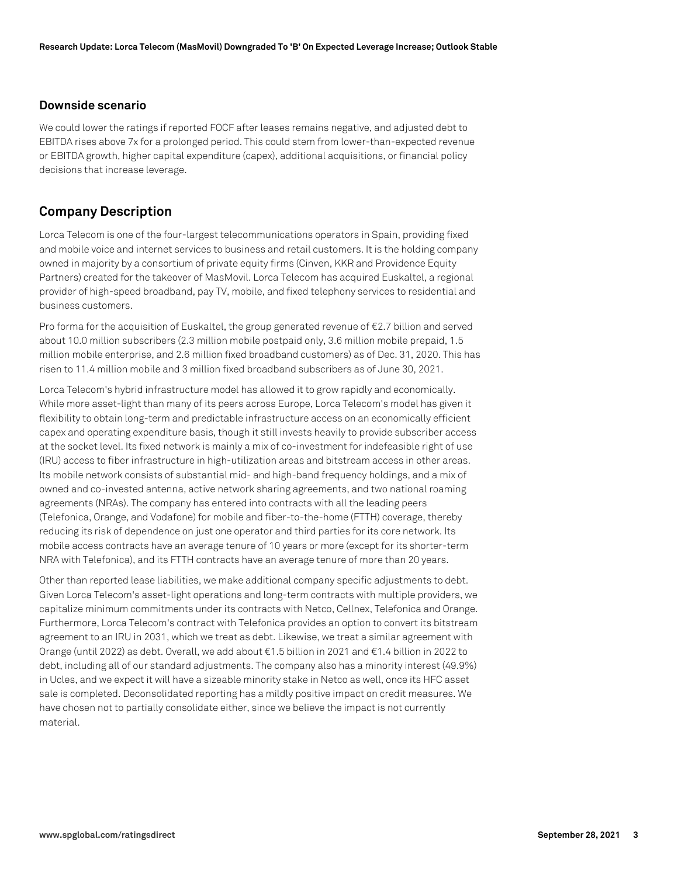#### **Downside scenario**

We could lower the ratings if reported FOCF after leases remains negative, and adjusted debt to EBITDA rises above 7x for a prolonged period. This could stem from lower-than-expected revenue or EBITDA growth, higher capital expenditure (capex), additional acquisitions, or financial policy decisions that increase leverage.

#### **Company Description**

Lorca Telecom is one of the four-largest telecommunications operators in Spain, providing fixed and mobile voice and internet services to business and retail customers. It is the holding company owned in majority by a consortium of private equity firms (Cinven, KKR and Providence Equity Partners) created for the takeover of MasMovil. Lorca Telecom has acquired Euskaltel, a regional provider of high-speed broadband, pay TV, mobile, and fixed telephony services to residential and business customers.

Pro forma for the acquisition of Euskaltel, the group generated revenue of  $\epsilon$ 2.7 billion and served about 10.0 million subscribers (2.3 million mobile postpaid only, 3.6 million mobile prepaid, 1.5 million mobile enterprise, and 2.6 million fixed broadband customers) as of Dec. 31, 2020. This has risen to 11.4 million mobile and 3 million fixed broadband subscribers as of June 30, 2021.

Lorca Telecom's hybrid infrastructure model has allowed it to grow rapidly and economically. While more asset-light than many of its peers across Europe, Lorca Telecom's model has given it flexibility to obtain long-term and predictable infrastructure access on an economically efficient capex and operating expenditure basis, though it still invests heavily to provide subscriber access at the socket level. Its fixed network is mainly a mix of co-investment for indefeasible right of use (IRU) access to fiber infrastructure in high-utilization areas and bitstream access in other areas. Its mobile network consists of substantial mid- and high-band frequency holdings, and a mix of owned and co-invested antenna, active network sharing agreements, and two national roaming agreements (NRAs). The company has entered into contracts with all the leading peers (Telefonica, Orange, and Vodafone) for mobile and fiber-to-the-home (FTTH) coverage, thereby reducing its risk of dependence on just one operator and third parties for its core network. Its mobile access contracts have an average tenure of 10 years or more (except for its shorter-term NRA with Telefonica), and its FTTH contracts have an average tenure of more than 20 years.

Other than reported lease liabilities, we make additional company specific adjustments to debt. Given Lorca Telecom's asset-light operations and long-term contracts with multiple providers, we capitalize minimum commitments under its contracts with Netco, Cellnex, Telefonica and Orange. Furthermore, Lorca Telecom's contract with Telefonica provides an option to convert its bitstream agreement to an IRU in 2031, which we treat as debt. Likewise, we treat a similar agreement with Orange (until 2022) as debt. Overall, we add about €1.5 billion in 2021 and €1.4 billion in 2022 to debt, including all of our standard adjustments. The company also has a minority interest (49.9%) in Ucles, and we expect it will have a sizeable minority stake in Netco as well, once its HFC asset sale is completed. Deconsolidated reporting has a mildly positive impact on credit measures. We have chosen not to partially consolidate either, since we believe the impact is not currently material.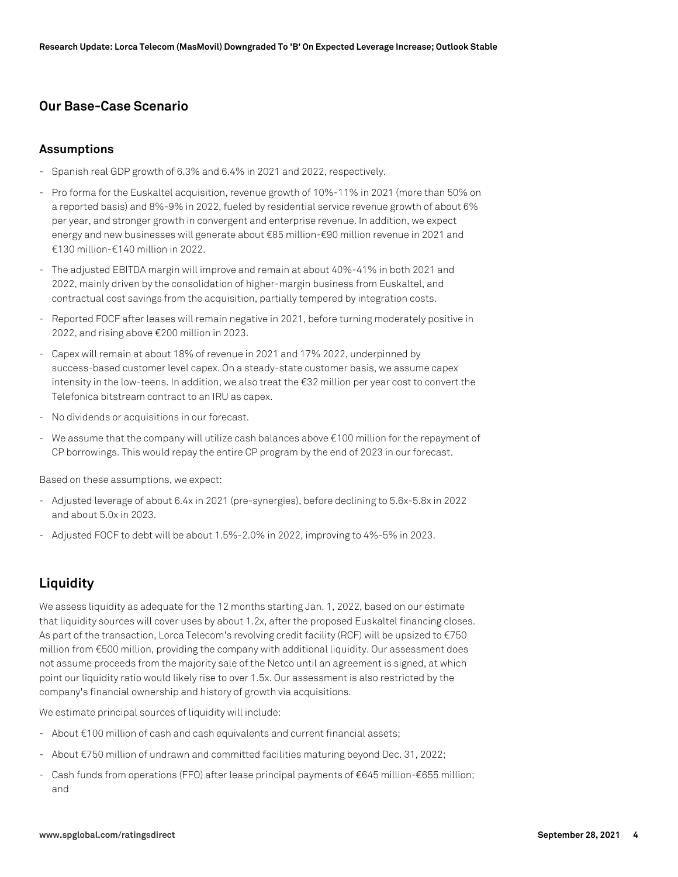## **Our Base-Case Scenario**

#### **Assumptions**

- Spanish real GDP growth of 6.3% and 6.4% in 2021 and 2022, respectively.
- Pro forma for the Euskaltel acquisition, revenue growth of 10%-11% in 2021 (more than 50% on a reported basis) and 8%-9% in 2022, fueled by residential service revenue growth of about 6% per year, and stronger growth in convergent and enterprise revenue. In addition, we expect energy and new businesses will generate about €85 million-€90 million revenue in 2021 and €130 million-€140 million in 2022.
- The adjusted EBITDA margin will improve and remain at about 40%-41% in both 2021 and 2022, mainly driven by the consolidation of higher-margin business from Euskaltel, and contractual cost savings from the acquisition, partially tempered by integration costs.
- Reported FOCF after leases will remain negative in 2021, before turning moderately positive in 2022, and rising above €200 million in 2023.
- Capex will remain at about 18% of revenue in 2021 and 17% 2022, underpinned by success-based customer level capex. On a steady-state customer basis, we assume capex intensity in the low-teens. In addition, we also treat the €32 million per year cost to convert the Telefonica bitstream contract to an IRU as capex.
- No dividends or acquisitions in our forecast.
- We assume that the company will utilize cash balances above €100 million for the repayment of CP borrowings. This would repay the entire CP program by the end of 2023 in our forecast.

Based on these assumptions, we expect:

- Adjusted leverage of about 6.4x in 2021 (pre-synergies), before declining to 5.6x-5.8x in 2022 and about 5.0x in 2023.
- Adjusted FOCF to debt will be about 1.5%-2.0% in 2022, improving to 4%-5% in 2023.

## **Liquidity**

We assess liquidity as adequate for the 12 months starting Jan. 1, 2022, based on our estimate that liquidity sources will cover uses by about 1.2x, after the proposed Euskaltel financing closes. As part of the transaction, Lorca Telecom's revolving credit facility (RCF) will be upsized to €750 million from €500 million, providing the company with additional liquidity. Our assessment does not assume proceeds from the majority sale of the Netco until an agreement is signed, at which point our liquidity ratio would likely rise to over 1.5x. Our assessment is also restricted by the company's financial ownership and history of growth via acquisitions.

We estimate principal sources of liquidity will include:

- About €100 million of cash and cash equivalents and current financial assets;
- About €750 million of undrawn and committed facilities maturing beyond Dec. 31, 2022;
- Cash funds from operations (FFO) after lease principal payments of €645 million-€655 million; and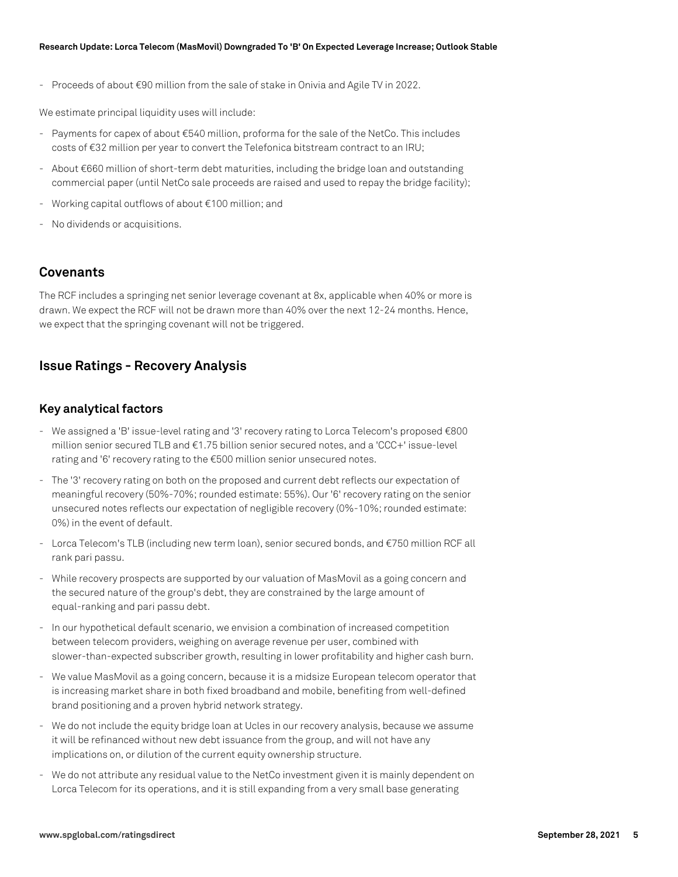- Proceeds of about €90 million from the sale of stake in Onivia and Agile TV in 2022.

We estimate principal liquidity uses will include:

- Payments for capex of about €540 million, proforma for the sale of the NetCo. This includes costs of €32 million per year to convert the Telefonica bitstream contract to an IRU;
- About €660 million of short-term debt maturities, including the bridge loan and outstanding commercial paper (until NetCo sale proceeds are raised and used to repay the bridge facility);
- Working capital outflows of about €100 million; and
- No dividends or acquisitions.

#### **Covenants**

The RCF includes a springing net senior leverage covenant at 8x, applicable when 40% or more is drawn. We expect the RCF will not be drawn more than 40% over the next 12-24 months. Hence, we expect that the springing covenant will not be triggered.

### **Issue Ratings - Recovery Analysis**

#### **Key analytical factors**

- We assigned a 'B' issue-level rating and '3' recovery rating to Lorca Telecom's proposed €800 million senior secured TLB and €1.75 billion senior secured notes, and a 'CCC+' issue-level rating and '6' recovery rating to the €500 million senior unsecured notes.
- The '3' recovery rating on both on the proposed and current debt reflects our expectation of meaningful recovery (50%-70%; rounded estimate: 55%). Our '6' recovery rating on the senior unsecured notes reflects our expectation of negligible recovery (0%-10%; rounded estimate: 0%) in the event of default.
- Lorca Telecom's TLB (including new term loan), senior secured bonds, and €750 million RCF all rank pari passu.
- While recovery prospects are supported by our valuation of MasMovil as a going concern and the secured nature of the group's debt, they are constrained by the large amount of equal-ranking and pari passu debt.
- In our hypothetical default scenario, we envision a combination of increased competition between telecom providers, weighing on average revenue per user, combined with slower-than-expected subscriber growth, resulting in lower profitability and higher cash burn.
- We value MasMovil as a going concern, because it is a midsize European telecom operator that is increasing market share in both fixed broadband and mobile, benefiting from well-defined brand positioning and a proven hybrid network strategy.
- We do not include the equity bridge loan at Ucles in our recovery analysis, because we assume it will be refinanced without new debt issuance from the group, and will not have any implications on, or dilution of the current equity ownership structure.
- We do not attribute any residual value to the NetCo investment given it is mainly dependent on Lorca Telecom for its operations, and it is still expanding from a very small base generating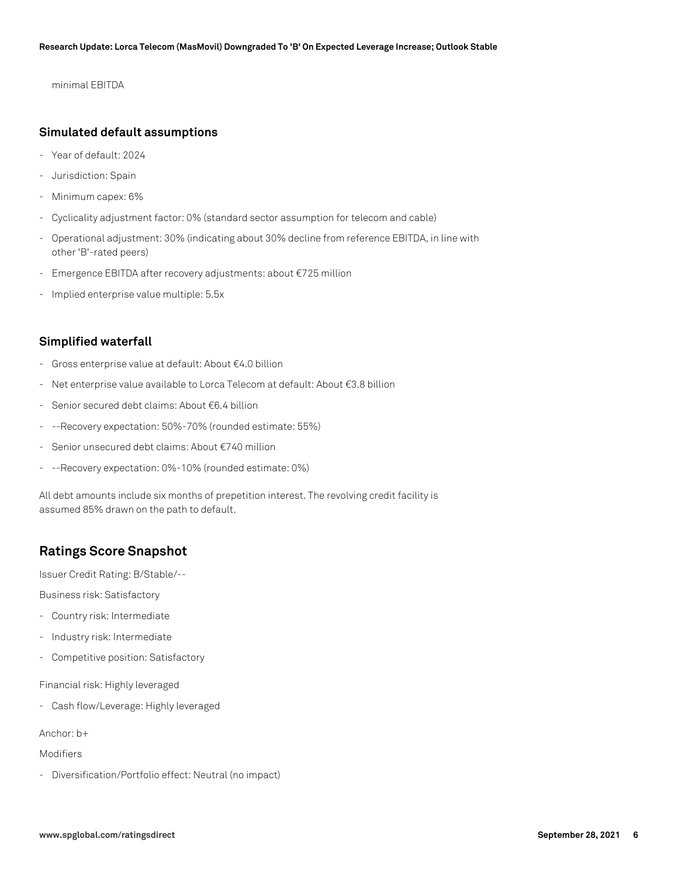minimal EBITDA

#### **Simulated default assumptions**

- Year of default: 2024
- Jurisdiction: Spain
- Minimum capex: 6%
- Cyclicality adjustment factor: 0% (standard sector assumption for telecom and cable)
- Operational adjustment: 30% (indicating about 30% decline from reference EBITDA, in line with other 'B'-rated peers)
- Emergence EBITDA after recovery adjustments: about €725 million
- Implied enterprise value multiple: 5.5x

### **Simplified waterfall**

- Gross enterprise value at default: About €4.0 billion
- Net enterprise value available to Lorca Telecom at default: About €3.8 billion
- Senior secured debt claims: About €6.4 billion
- --Recovery expectation: 50%-70% (rounded estimate: 55%)
- Senior unsecured debt claims: About €740 million
- --Recovery expectation: 0%-10% (rounded estimate: 0%)

All debt amounts include six months of prepetition interest. The revolving credit facility is assumed 85% drawn on the path to default.

## **Ratings Score Snapshot**

Issuer Credit Rating: B/Stable/--

Business risk: Satisfactory

- Country risk: Intermediate
- Industry risk: Intermediate
- Competitive position: Satisfactory

Financial risk: Highly leveraged

- Cash flow/Leverage: Highly leveraged

Anchor: b+

Modifiers

- Diversification/Portfolio effect: Neutral (no impact)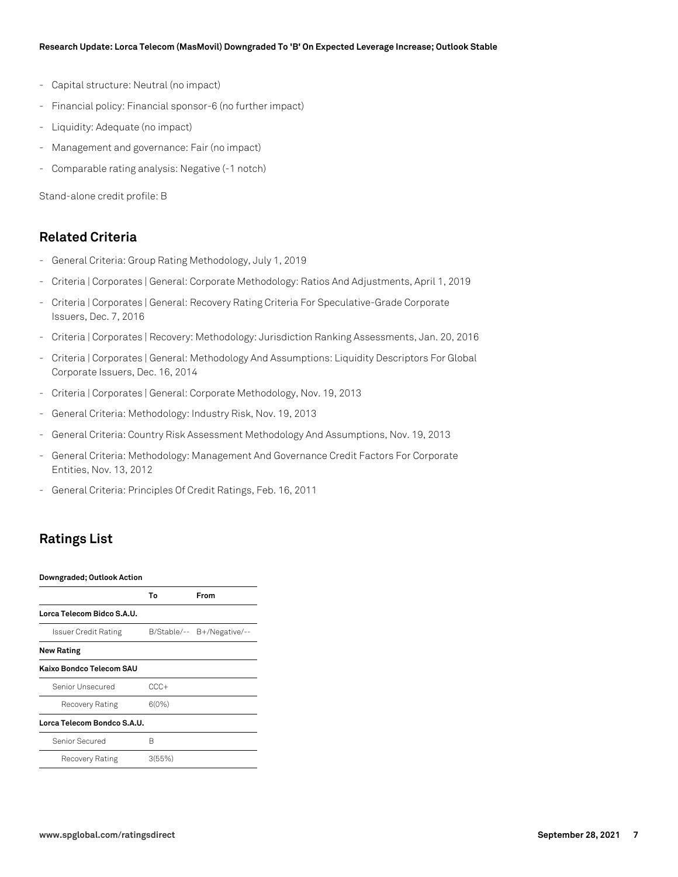- Capital structure: Neutral (no impact)
- Financial policy: Financial sponsor-6 (no further impact)
- Liquidity: Adequate (no impact)
- Management and governance: Fair (no impact)
- Comparable rating analysis: Negative (-1 notch)

Stand-alone credit profile: B

#### **Related Criteria**

- General Criteria: Group Rating Methodology, July 1, 2019
- Criteria | Corporates | General: Corporate Methodology: Ratios And Adjustments, April 1, 2019
- Criteria | Corporates | General: Recovery Rating Criteria For Speculative-Grade Corporate Issuers, Dec. 7, 2016
- Criteria | Corporates | Recovery: Methodology: Jurisdiction Ranking Assessments, Jan. 20, 2016
- Criteria | Corporates | General: Methodology And Assumptions: Liquidity Descriptors For Global Corporate Issuers, Dec. 16, 2014
- Criteria | Corporates | General: Corporate Methodology, Nov. 19, 2013
- General Criteria: Methodology: Industry Risk, Nov. 19, 2013
- General Criteria: Country Risk Assessment Methodology And Assumptions, Nov. 19, 2013
- General Criteria: Methodology: Management And Governance Credit Factors For Corporate Entities, Nov. 13, 2012
- General Criteria: Principles Of Credit Ratings, Feb. 16, 2011

## **Ratings List**

#### **Downgraded; Outlook Action**

|                             | Т٥      | From                       |
|-----------------------------|---------|----------------------------|
| Lorca Telecom Bidco S.A.U.  |         |                            |
| Issuer Credit Rating        |         | B/Stable/-- B+/Negative/-- |
| <b>New Rating</b>           |         |                            |
| Kaixo Bondco Telecom SAU    |         |                            |
| Senior Unsecured            | $CCC +$ |                            |
| Recovery Rating             | 6(0%)   |                            |
| Lorca Telecom Bondco S.A.U. |         |                            |
| Senior Secured              | R       |                            |
| Recovery Rating             | 3(55%)  |                            |
|                             |         |                            |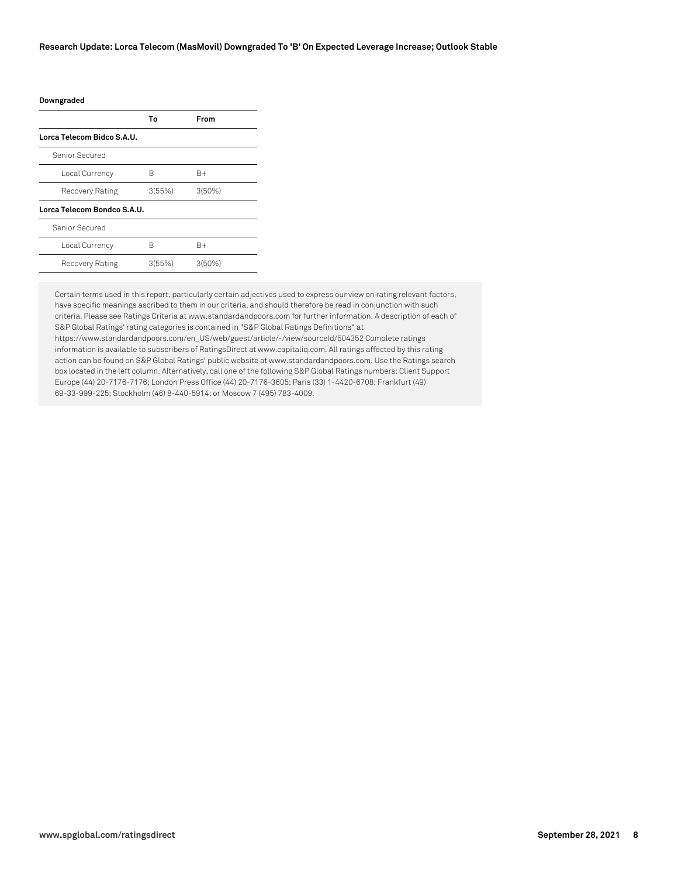#### **Research Update: Lorca Telecom (MasMovil) Downgraded To 'B' On Expected Leverage Increase; Outlook Stable**

| Downgraded                  |        |        |  |
|-----------------------------|--------|--------|--|
|                             | Тο     | From   |  |
| Lorca Telecom Bidco S.A.U.  |        |        |  |
| Senior Secured              |        |        |  |
| Local Currency              | R      | $B+$   |  |
| Recovery Rating             | 3(55%) | 3(50%) |  |
| Lorca Telecom Bondco S.A.U. |        |        |  |
| Senior Secured              |        |        |  |
| Local Currency              | R      | B+     |  |
| Recovery Rating             | 3(55%) | 3(50%) |  |
|                             |        |        |  |

Certain terms used in this report, particularly certain adjectives used to express our view on rating relevant factors, have specific meanings ascribed to them in our criteria, and should therefore be read in conjunction with such criteria. Please see Ratings Criteria at www.standardandpoors.com for further information. A description of each of S&P Global Ratings' rating categories is contained in "S&P Global Ratings Definitions" at https://www.standardandpoors.com/en\_US/web/guest/article/-/view/sourceId/504352 Complete ratings information is available to subscribers of RatingsDirect at www.capitaliq.com. All ratings affected by this rating action can be found on S&P Global Ratings' public website at www.standardandpoors.com. Use the Ratings search box located in the left column. Alternatively, call one of the following S&P Global Ratings numbers: Client Support Europe (44) 20-7176-7176; London Press Office (44) 20-7176-3605; Paris (33) 1-4420-6708; Frankfurt (49) 69-33-999-225; Stockholm (46) 8-440-5914; or Moscow 7 (495) 783-4009.